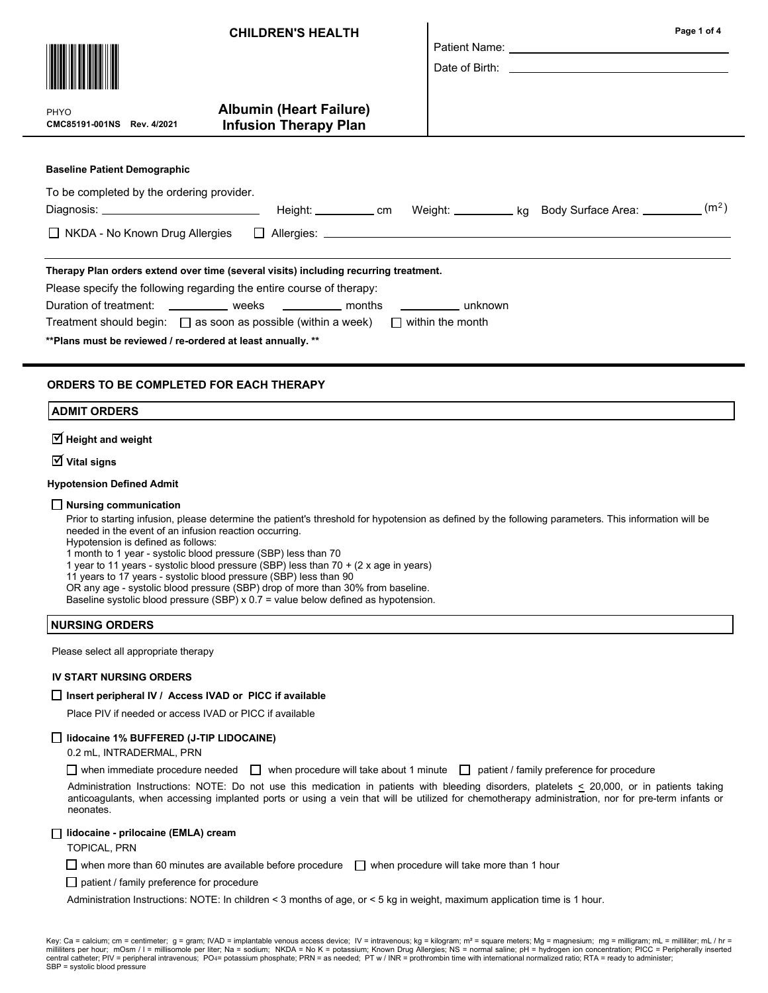| <b>CHILDREN'S HEALTH</b>                                                                             | Page 1 of 4 |  |  |  |  |
|------------------------------------------------------------------------------------------------------|-------------|--|--|--|--|
|                                                                                                      |             |  |  |  |  |
|                                                                                                      |             |  |  |  |  |
| <b>Albumin (Heart Failure)</b><br>PHYO<br><b>Infusion Therapy Plan</b><br>CMC85191-001NS Rev. 4/2021 |             |  |  |  |  |
| <b>Baseline Patient Demographic</b>                                                                  |             |  |  |  |  |
| To be completed by the ordering provider.                                                            |             |  |  |  |  |
|                                                                                                      |             |  |  |  |  |
|                                                                                                      |             |  |  |  |  |
| Therapy Plan orders extend over time (several visits) including recurring treatment.                 |             |  |  |  |  |
| Please specify the following regarding the entire course of therapy:                                 |             |  |  |  |  |
| Duration of treatment: _____________ weeks ____________ months ____________ unknown                  |             |  |  |  |  |
| Treatment should begin: $\Box$ as soon as possible (within a week) $\Box$ within the month           |             |  |  |  |  |
| ** Plans must be reviewed / re-ordered at least annually. **                                         |             |  |  |  |  |
|                                                                                                      |             |  |  |  |  |

## ORDERS TO BE COMPLETED FOR EACH THERAPY

 $\overline{\trianglelefteq}$  Height and weight

 $\overline{\mathsf{V}}$  Vital signs

### Hypotension Defined Admit

#### $\Box$  Nursing communication

Prior to starting infusion, please determine the patient's threshold for hypotension as defined by the following parameters. This information will be needed in the event of an infusion reaction occurring.

Hypotension is defined as follows:

1 month to 1 year - systolic blood pressure (SBP) less than 70

1 year to 11 years - systolic blood pressure (SBP) less than 70 + (2 x age in years)

11 years to 17 years - systolic blood pressure (SBP) less than 90

OR any age - systolic blood pressure (SBP) drop of more than 30% from baseline.

Baseline systolic blood pressure (SBP)  $x$  0.7 = value below defined as hypotension.

## NURSING ORDERS

Please select all appropriate therapy

## IV START NURSING ORDERS

## $\Box$  Insert peripheral IV / Access IVAD or PICC if available

Place PIV if needed or access IVAD or PICC if available

## lidocaine 1% BUFFERED (J-TIP LIDOCAINE)

0.2 mL, INTRADERMAL, PRN

when immediate procedure needed  $\Box$  when procedure will take about 1 minute  $\Box$  patient / family preference for procedure

Administration Instructions: NOTE: Do not use this medication in patients with bleeding disorders, platelets < 20,000, or in patients taking anticoagulants, when accessing implanted ports or using a vein that will be utilized for chemotherapy administration, nor for pre-term infants or neonates.

## □ lidocaine - prilocaine (EMLA) cream

TOPICAL, PRN

 $\Box$  when more than 60 minutes are available before procedure  $\Box$  when procedure will take more than 1 hour

 $\Box$  patient / family preference for procedure

Administration Instructions: NOTE: In children < 3 months of age, or < 5 kg in weight, maximum application time is 1 hour.

Key: Ca = calcium; cm = centimeter; g = gram; IVAD = implantable venous access device; IV = intravenous; kg = kilogram; m<sup>2</sup> = square meters; Mg = magnesium; mg = milligram; mL = milliliter; mL / hr = milliliters per hour; mOsm / l = millisomole per liter; Na = sodium; NKDA = No K = potassium; Known Drug Allergies; NS = normal saline; pH = hydrogen ion concentration; PICC = Peripherally inserted central catheter; PIV = peripheral intravenous; PO4= potassium phosphate; PRN = as needed; PT w / INR = prothrombin time with international normalized ratio; RTA = ready to administer; SBP = systolic blood pressure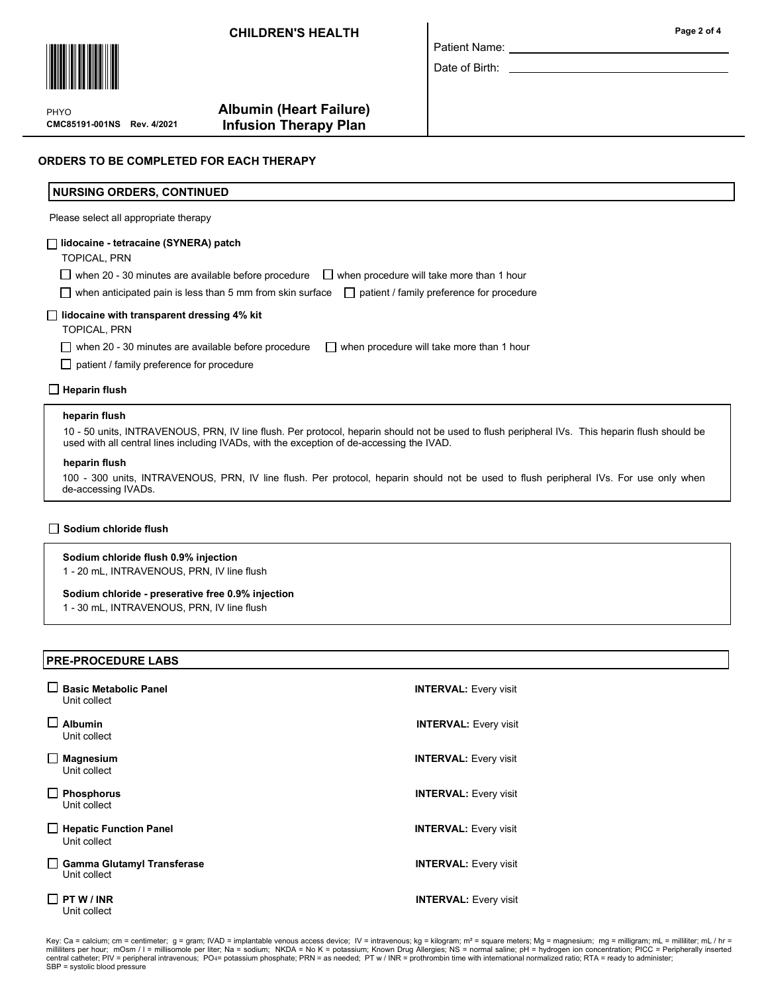# CHILDREN'S HEALTH



CMC85191-001NS Rev. 4/2021 PHYO

# Albumin (Heart Failure) Infusion Therapy Plan

| Patient Name: |  |
|---------------|--|

Date of Birth:

## ORDERS TO BE COMPLETED FOR EACH THERAPY

## NURSING ORDERS, CONTINUED

Please select all appropriate therapy

### lidocaine - tetracaine (SYNERA) patch

TOPICAL, PRN

 $\Box$  when 20 - 30 minutes are available before procedure  $\Box$  when procedure will take more than 1 hour

 $\Box$  when anticipated pain is less than 5 mm from skin surface  $\Box$  patient / family preference for procedure

## $\Box$  lidocaine with transparent dressing 4% kit

TOPICAL, PRN

when 20 - 30 minutes are available before procedure  $\Box$  when procedure will take more than 1 hour

 $\Box$  patient / family preference for procedure

 $\Box$  Heparin flush

#### heparin flush

10 - 50 units, INTRAVENOUS, PRN, IV line flush. Per protocol, heparin should not be used to flush peripheral IVs. This heparin flush should be used with all central lines including IVADs, with the exception of de-accessing the IVAD.

#### heparin flush

100 - 300 units, INTRAVENOUS, PRN, IV line flush. Per protocol, heparin should not be used to flush peripheral IVs. For use only when de-accessing IVADs.

## $\Box$  Sodium chloride flush

### Sodium chloride flush 0.9% injection

1 - 20 mL, INTRAVENOUS, PRN, IV line flush

#### Sodium chloride - preserative free 0.9% injection

1 - 30 mL, INTRAVENOUS, PRN, IV line flush

## PRE-PROCEDURE LABS

| <b>Basic Metabolic Panel</b><br>Unit collect      | <b>INTERVAL: Every visit</b> |
|---------------------------------------------------|------------------------------|
| <b>Albumin</b><br>Unit collect                    | <b>INTERVAL: Every visit</b> |
| <b>Magnesium</b><br>Unit collect                  | <b>INTERVAL: Every visit</b> |
| <b>Phosphorus</b><br>Unit collect                 | <b>INTERVAL:</b> Every visit |
| <b>Hepatic Function Panel</b><br>Unit collect     | <b>INTERVAL: Every visit</b> |
| <b>Gamma Glutamyl Transferase</b><br>Unit collect | <b>INTERVAL: Every visit</b> |
| PT W / INR<br>Unit collect                        | <b>INTERVAL: Every visit</b> |

Key: Ca = calcium; cm = centimeter; g = gram; IVAD = implantable venous access device; IV = intravenous; kg = kilogram; m<sup>2</sup> = square meters; Mg = magnesium; mg = milligram; mL = milliliter; mL / hr = milliliters per hour; mOsm / l = millisomole per liter; Na = sodium; NKDA = No K = potassium; Known Drug Allergies; NS = normal saline; pH = hydrogen ion concentration; PICC = Peripherally inserted central catheter; PIV = peripheral intravenous; PO4= potassium phosphate; PRN = as needed; PT w / INR = prothrombin time with international normalized ratio; RTA = ready to administer; SBP = systolic blood pressure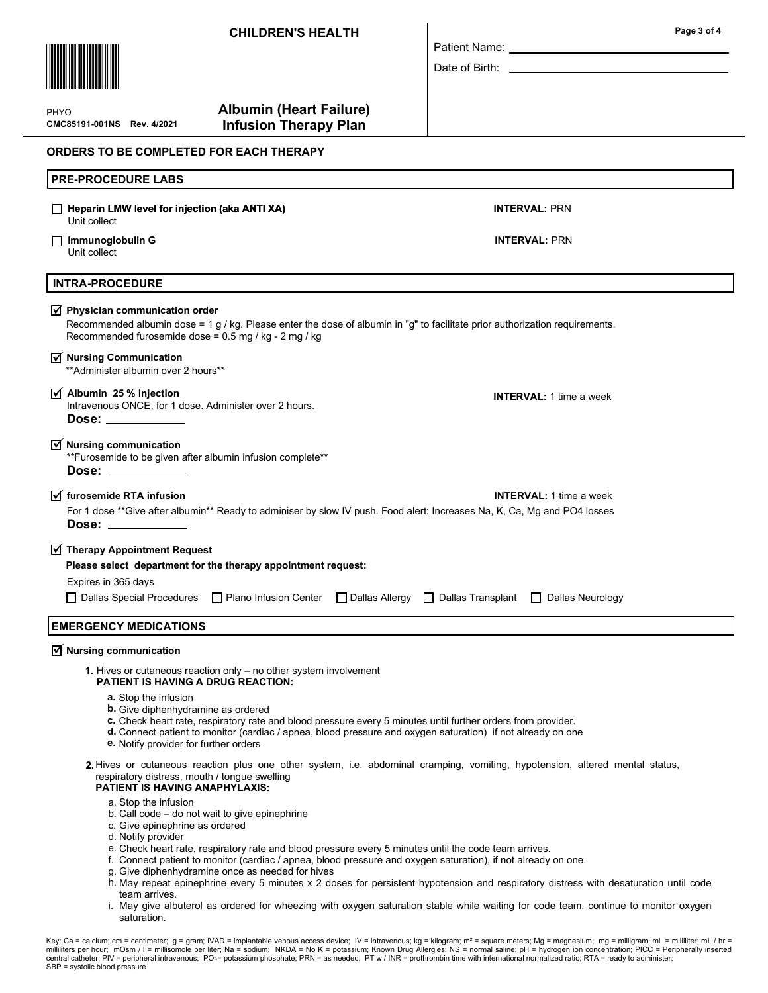

PHYO

CMC85191-001NS Rev. 4/2021

# Albumin (Heart Failure) Infusion Therapy Plan

## ORDERS TO BE COMPLETED FOR EACH THERAPY

| <b>PRE-PROCEDURE LABS</b>                                                                                                                                                                                                                     |                                |  |  |
|-----------------------------------------------------------------------------------------------------------------------------------------------------------------------------------------------------------------------------------------------|--------------------------------|--|--|
| Heparin LMW level for injection (aka ANTI XA)<br>Unit collect                                                                                                                                                                                 | <b>INTERVAL: PRN</b>           |  |  |
| $\Box$ Immunoglobulin G<br>Unit collect                                                                                                                                                                                                       | <b>INTERVAL: PRN</b>           |  |  |
| <b>INTRA-PROCEDURE</b>                                                                                                                                                                                                                        |                                |  |  |
| $\sqrt{ }$ Physician communication order<br>Recommended albumin dose = 1 $g / kg$ . Please enter the dose of albumin in "g" to facilitate prior authorization requirements.<br>Recommended furosemide dose = 0.5 mg / kg - 2 mg / kg          |                                |  |  |
| $\sqrt{ }$ Nursing Communication<br>** Administer albumin over 2 hours**                                                                                                                                                                      |                                |  |  |
| $\overline{y}$ Albumin 25 % injection<br>Intravenous ONCE, for 1 dose. Administer over 2 hours.<br>Dose: __________                                                                                                                           | <b>INTERVAL: 1 time a week</b> |  |  |
| $\overline{\mathbf{y}}$ Nursing communication<br>**Furosemide to be given after albumin infusion complete**<br>Dose:                                                                                                                          |                                |  |  |
| $\overline{M}$ furosemide RTA infusion<br>For 1 dose **Give after albumin** Ready to adminiser by slow IV push. Food alert: Increases Na, K, Ca, Mg and PO4 losses<br>Dose: $\_\_$                                                            | <b>INTERVAL:</b> 1 time a week |  |  |
| $\sqrt{ }$ Therapy Appointment Request<br>Please select department for the therapy appointment request:<br>Expires in 365 days<br>□ Dallas Special Procedures □ Plano Infusion Center □ Dallas Allergy □ Dallas Transplant □ Dallas Neurology |                                |  |  |
| <b>EMERGENCY MEDICATIONS</b>                                                                                                                                                                                                                  |                                |  |  |
| $\overline{\mathcal{A}}$ Nursing communication<br>1. Hives or cutaneous reaction only $-$ no other system involvement<br><b>PATIENT IS HAVING A DRUG REACTION:</b>                                                                            |                                |  |  |

Patient Name: Date of Birth:

- a. Stop the infusion
- **b.** Give diphenhydramine as ordered
- c. Check heart rate, respiratory rate and blood pressure every 5 minutes until further orders from provider.
- d. Connect patient to monitor (cardiac / apnea, blood pressure and oxygen saturation) if not already on one
- e. Notify provider for further orders
- 2. Hives or cutaneous reaction plus one other system, i.e. abdominal cramping, vomiting, hypotension, altered mental status, respiratory distress, mouth / tongue swelling

## PATIENT IS HAVING ANAPHYLAXIS:

- a. Stop the infusion
- b. Call code do not wait to give epinephrine
- c. Give epinephrine as ordered
- d. Notify provider
- e. Check heart rate, respiratory rate and blood pressure every 5 minutes until the code team arrives.
- f. Connect patient to monitor (cardiac / apnea, blood pressure and oxygen saturation), if not already on one.
- Give diphenhydramine once as needed for hives g.
- h. May repeat epinephrine every 5 minutes x 2 doses for persistent hypotension and respiratory distress with desaturation until code team arrives.
- i. May give albuterol as ordered for wheezing with oxygen saturation stable while waiting for code team, continue to monitor oxygen saturation.

Page 3 of 4

Key: Ca = calcium; cm = centimeter; g = gram; IVAD = implantable venous access device; IV = intravenous; kg = kilogram; m<sup>2</sup> = square meters; Mg = magnesium; mg = milligram; mL = milliliter; mL / hr = milliliters per hour; mOsm / l = millisomole per liter; Na = sodium; NKDA = No K = potassium; Known Drug Allergies; NS = normal saline; pH = hydrogen ion concentration; PICC = Peripherally inserted central catheter; PIV = peripheral intravenous; PO4= potassium phosphate; PRN = as needed; PT w / INR = prothrombin time with international normalized ratio; RTA = ready to administer; SBP = systolic blood pressure